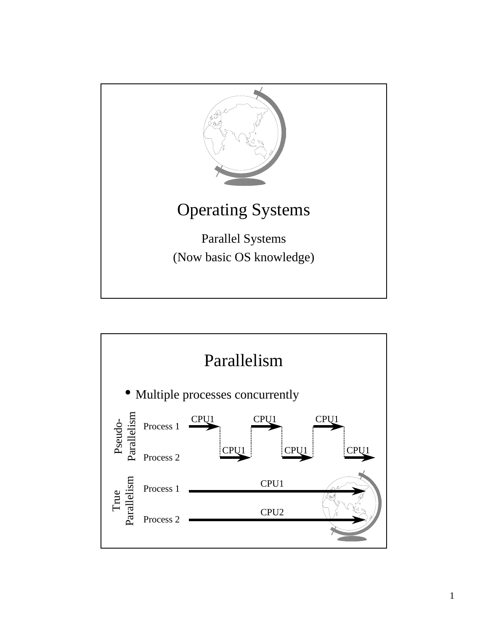

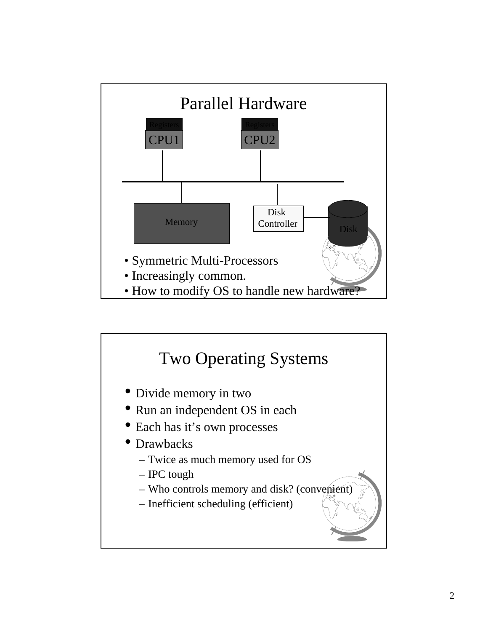

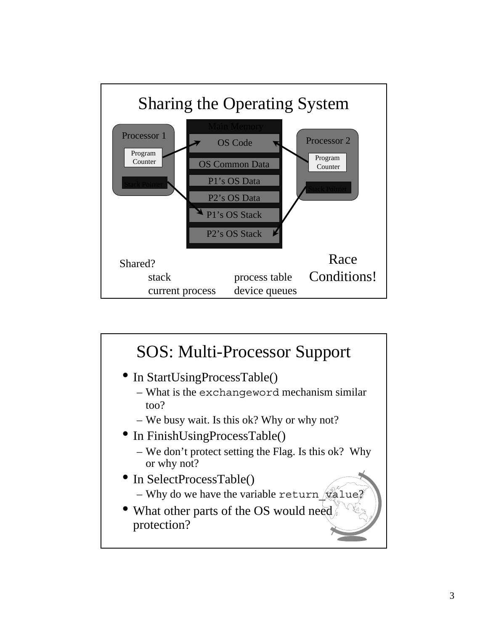

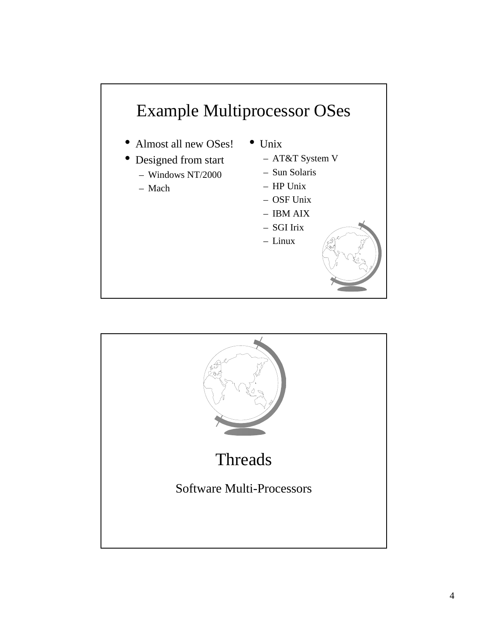

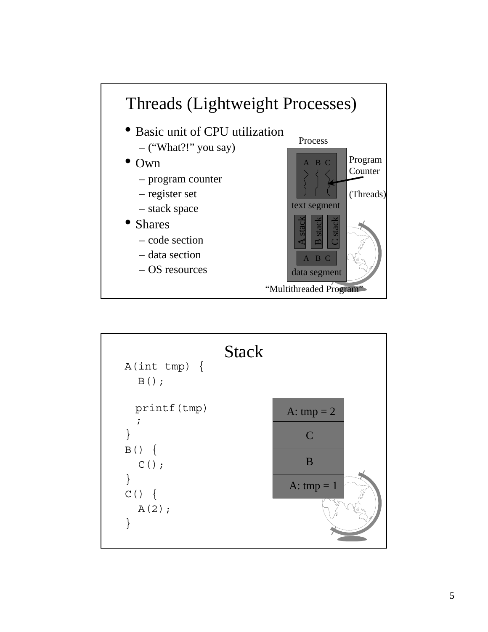

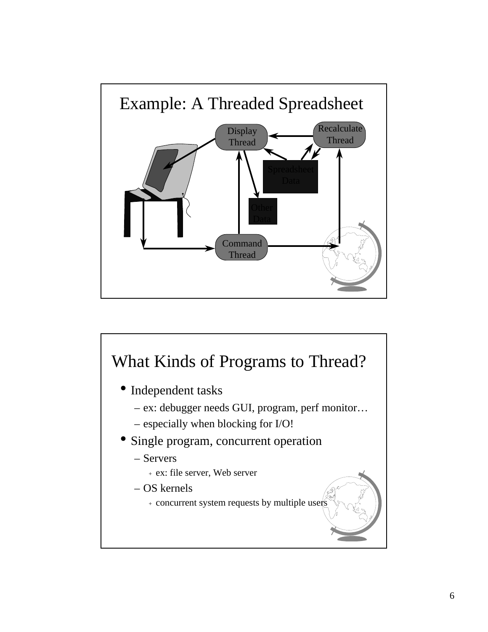

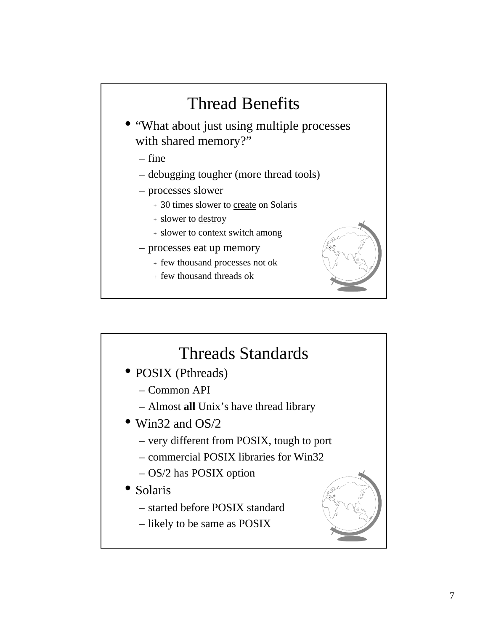## Thread Benefits

- "What about just using multiple processes with shared memory?"
	- fine
	- debugging tougher (more thread tools)
	- processes slower
		- <sup>+</sup> 30 times slower to create on Solaris
		- <sup>+</sup> slower to destroy
		- <sup>+</sup> slower to context switch among
	- processes eat up memory
		- <sup>+</sup> few thousand processes not ok
		- <sup>+</sup> few thousand threads ok



## Threads Standards

- POSIX (Pthreads)
	- Common API
	- Almost **all** Unix's have thread library
- Win32 and OS/2
	- very different from POSIX, tough to port
	- commercial POSIX libraries for Win32
	- OS/2 has POSIX option
- Solaris
	- started before POSIX standard
	- likely to be same as POSIX

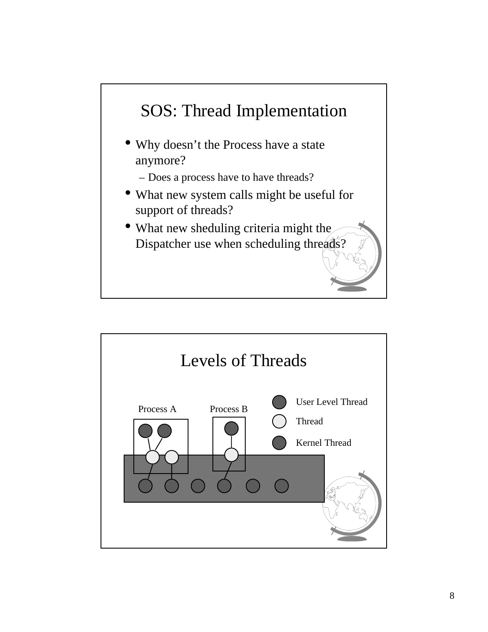